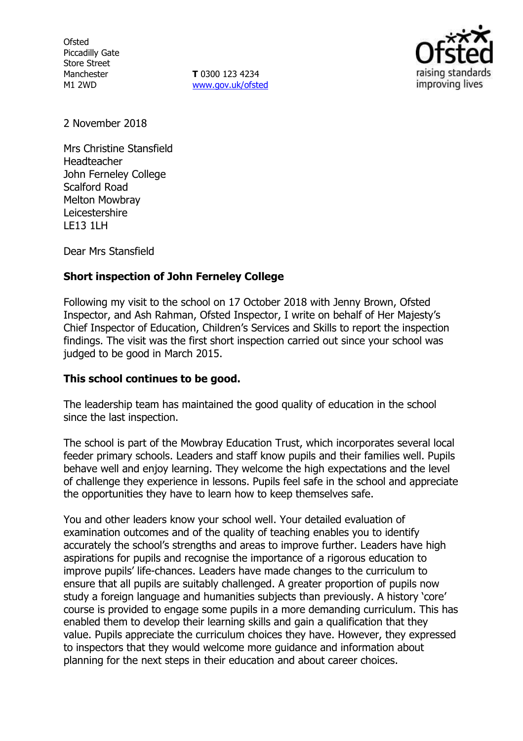**Ofsted** Piccadilly Gate Store Street Manchester M1 2WD

**T** 0300 123 4234 www.gov.uk/ofsted



2 November 2018

Mrs Christine Stansfield Headteacher John Ferneley College Scalford Road Melton Mowbray Leicestershire LE13 1LH

Dear Mrs Stansfield

# **Short inspection of John Ferneley College**

Following my visit to the school on 17 October 2018 with Jenny Brown, Ofsted Inspector, and Ash Rahman, Ofsted Inspector, I write on behalf of Her Majesty's Chief Inspector of Education, Children's Services and Skills to report the inspection findings. The visit was the first short inspection carried out since your school was judged to be good in March 2015.

## **This school continues to be good.**

The leadership team has maintained the good quality of education in the school since the last inspection.

The school is part of the Mowbray Education Trust, which incorporates several local feeder primary schools. Leaders and staff know pupils and their families well. Pupils behave well and enjoy learning. They welcome the high expectations and the level of challenge they experience in lessons. Pupils feel safe in the school and appreciate the opportunities they have to learn how to keep themselves safe.

You and other leaders know your school well. Your detailed evaluation of examination outcomes and of the quality of teaching enables you to identify accurately the school's strengths and areas to improve further. Leaders have high aspirations for pupils and recognise the importance of a rigorous education to improve pupils' life-chances. Leaders have made changes to the curriculum to ensure that all pupils are suitably challenged. A greater proportion of pupils now study a foreign language and humanities subjects than previously. A history 'core' course is provided to engage some pupils in a more demanding curriculum. This has enabled them to develop their learning skills and gain a qualification that they value. Pupils appreciate the curriculum choices they have. However, they expressed to inspectors that they would welcome more guidance and information about planning for the next steps in their education and about career choices.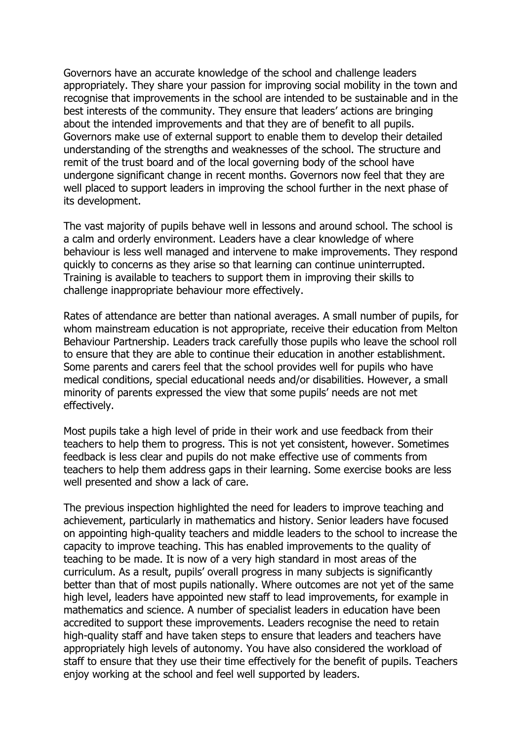Governors have an accurate knowledge of the school and challenge leaders appropriately. They share your passion for improving social mobility in the town and recognise that improvements in the school are intended to be sustainable and in the best interests of the community. They ensure that leaders' actions are bringing about the intended improvements and that they are of benefit to all pupils. Governors make use of external support to enable them to develop their detailed understanding of the strengths and weaknesses of the school. The structure and remit of the trust board and of the local governing body of the school have undergone significant change in recent months. Governors now feel that they are well placed to support leaders in improving the school further in the next phase of its development.

The vast majority of pupils behave well in lessons and around school. The school is a calm and orderly environment. Leaders have a clear knowledge of where behaviour is less well managed and intervene to make improvements. They respond quickly to concerns as they arise so that learning can continue uninterrupted. Training is available to teachers to support them in improving their skills to challenge inappropriate behaviour more effectively.

Rates of attendance are better than national averages. A small number of pupils, for whom mainstream education is not appropriate, receive their education from Melton Behaviour Partnership. Leaders track carefully those pupils who leave the school roll to ensure that they are able to continue their education in another establishment. Some parents and carers feel that the school provides well for pupils who have medical conditions, special educational needs and/or disabilities. However, a small minority of parents expressed the view that some pupils' needs are not met effectively.

Most pupils take a high level of pride in their work and use feedback from their teachers to help them to progress. This is not yet consistent, however. Sometimes feedback is less clear and pupils do not make effective use of comments from teachers to help them address gaps in their learning. Some exercise books are less well presented and show a lack of care.

The previous inspection highlighted the need for leaders to improve teaching and achievement, particularly in mathematics and history. Senior leaders have focused on appointing high-quality teachers and middle leaders to the school to increase the capacity to improve teaching. This has enabled improvements to the quality of teaching to be made. It is now of a very high standard in most areas of the curriculum. As a result, pupils' overall progress in many subjects is significantly better than that of most pupils nationally. Where outcomes are not yet of the same high level, leaders have appointed new staff to lead improvements, for example in mathematics and science. A number of specialist leaders in education have been accredited to support these improvements. Leaders recognise the need to retain high-quality staff and have taken steps to ensure that leaders and teachers have appropriately high levels of autonomy. You have also considered the workload of staff to ensure that they use their time effectively for the benefit of pupils. Teachers enjoy working at the school and feel well supported by leaders.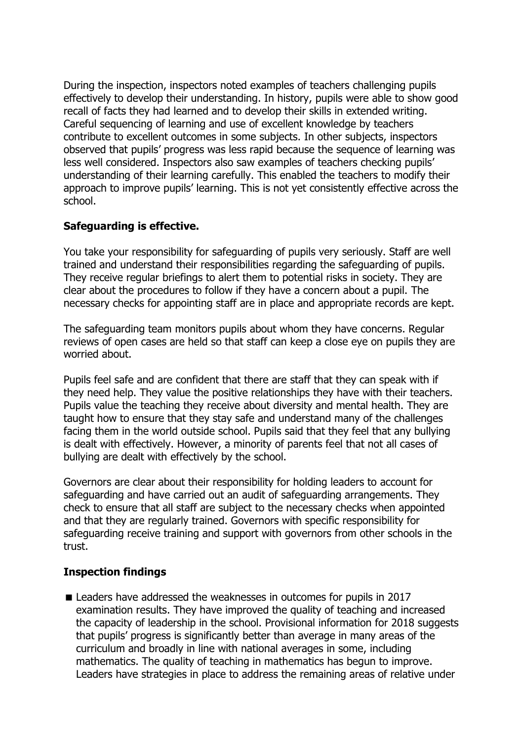During the inspection, inspectors noted examples of teachers challenging pupils effectively to develop their understanding. In history, pupils were able to show good recall of facts they had learned and to develop their skills in extended writing. Careful sequencing of learning and use of excellent knowledge by teachers contribute to excellent outcomes in some subjects. In other subjects, inspectors observed that pupils' progress was less rapid because the sequence of learning was less well considered. Inspectors also saw examples of teachers checking pupils' understanding of their learning carefully. This enabled the teachers to modify their approach to improve pupils' learning. This is not yet consistently effective across the school.

# **Safeguarding is effective.**

You take your responsibility for safeguarding of pupils very seriously. Staff are well trained and understand their responsibilities regarding the safeguarding of pupils. They receive regular briefings to alert them to potential risks in society. They are clear about the procedures to follow if they have a concern about a pupil. The necessary checks for appointing staff are in place and appropriate records are kept.

The safeguarding team monitors pupils about whom they have concerns. Regular reviews of open cases are held so that staff can keep a close eye on pupils they are worried about.

Pupils feel safe and are confident that there are staff that they can speak with if they need help. They value the positive relationships they have with their teachers. Pupils value the teaching they receive about diversity and mental health. They are taught how to ensure that they stay safe and understand many of the challenges facing them in the world outside school. Pupils said that they feel that any bullying is dealt with effectively. However, a minority of parents feel that not all cases of bullying are dealt with effectively by the school.

Governors are clear about their responsibility for holding leaders to account for safeguarding and have carried out an audit of safeguarding arrangements. They check to ensure that all staff are subject to the necessary checks when appointed and that they are regularly trained. Governors with specific responsibility for safeguarding receive training and support with governors from other schools in the trust.

## **Inspection findings**

■ Leaders have addressed the weaknesses in outcomes for pupils in 2017 examination results. They have improved the quality of teaching and increased the capacity of leadership in the school. Provisional information for 2018 suggests that pupils' progress is significantly better than average in many areas of the curriculum and broadly in line with national averages in some, including mathematics. The quality of teaching in mathematics has begun to improve. Leaders have strategies in place to address the remaining areas of relative under